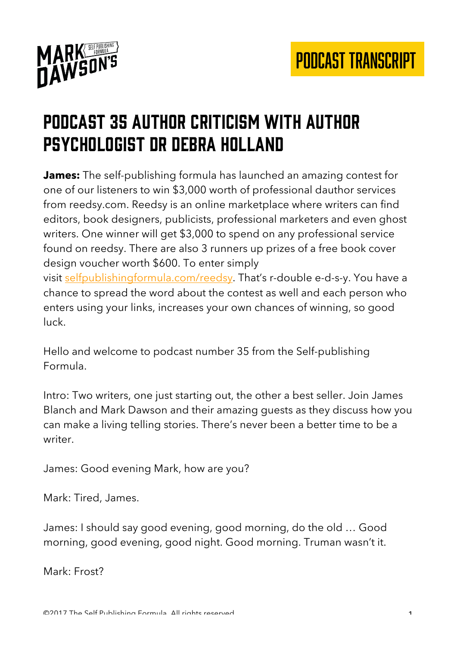

## MARK DAWSON'S

#### Podcast 35 Author criticism with author psychologist Dr Debra Holland

**James:** The self-publishing formula has launched an amazing contest for one of our listeners to win \$3,000 worth of professional dauthor services from reedsy.com. Reedsy is an online marketplace where writers can find editors, book designers, publicists, professional marketers and even ghost writers. One winner will get \$3,000 to spend on any professional service found on reedsy. There are also 3 runners up prizes of a free book cover design voucher worth \$600. To enter simply visit selfpublishingformula.com/reedsy. That's r-double e-d-s-y. You have a chance to spread the word about the contest as well and each person who enters using your links, increases your own chances of winning, so good luck.

Hello and welcome to podcast number 35 from the Self-publishing Formula.

Intro: Two writers, one just starting out, the other a best seller. Join James Blanch and Mark Dawson and their amazing guests as they discuss how you can make a living telling stories. There's never been a better time to be a writer.

James: Good evening Mark, how are you?

Mark: Tired, James.

James: I should say good evening, good morning, do the old … Good morning, good evening, good night. Good morning. Truman wasn't it.

Mark: Frost?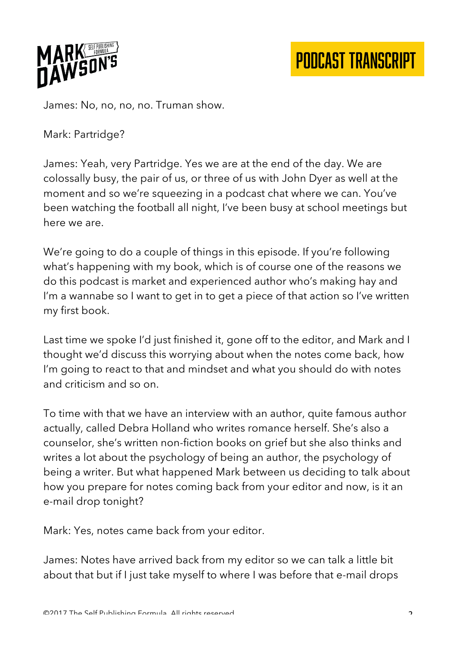

James: No, no, no, no. Truman show.

Mark: Partridge?

James: Yeah, very Partridge. Yes we are at the end of the day. We are colossally busy, the pair of us, or three of us with John Dyer as well at the moment and so we're squeezing in a podcast chat where we can. You've been watching the football all night, I've been busy at school meetings but here we are.

We're going to do a couple of things in this episode. If you're following what's happening with my book, which is of course one of the reasons we do this podcast is market and experienced author who's making hay and I'm a wannabe so I want to get in to get a piece of that action so I've written my first book.

Last time we spoke I'd just finished it, gone off to the editor, and Mark and I thought we'd discuss this worrying about when the notes come back, how I'm going to react to that and mindset and what you should do with notes and criticism and so on.

To time with that we have an interview with an author, quite famous author actually, called Debra Holland who writes romance herself. She's also a counselor, she's written non-fiction books on grief but she also thinks and writes a lot about the psychology of being an author, the psychology of being a writer. But what happened Mark between us deciding to talk about how you prepare for notes coming back from your editor and now, is it an e-mail drop tonight?

Mark: Yes, notes came back from your editor.

James: Notes have arrived back from my editor so we can talk a little bit about that but if I just take myself to where I was before that e-mail drops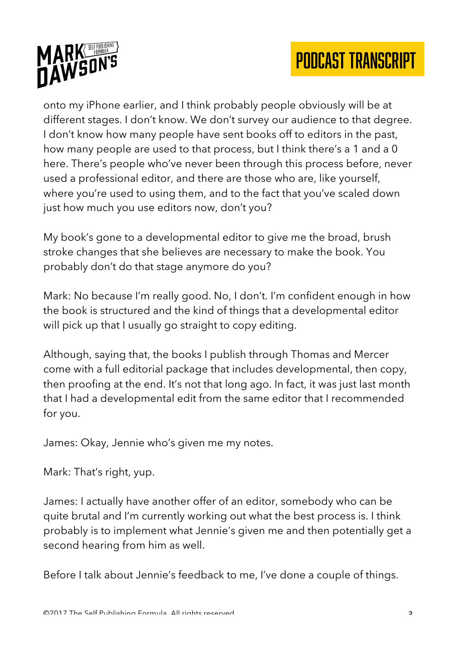



onto my iPhone earlier, and I think probably people obviously will be at different stages. I don't know. We don't survey our audience to that degree. I don't know how many people have sent books off to editors in the past, how many people are used to that process, but I think there's a 1 and a 0 here. There's people who've never been through this process before, never used a professional editor, and there are those who are, like yourself, where you're used to using them, and to the fact that you've scaled down just how much you use editors now, don't you?

My book's gone to a developmental editor to give me the broad, brush stroke changes that she believes are necessary to make the book. You probably don't do that stage anymore do you?

Mark: No because I'm really good. No, I don't. I'm confident enough in how the book is structured and the kind of things that a developmental editor will pick up that I usually go straight to copy editing.

Although, saying that, the books I publish through Thomas and Mercer come with a full editorial package that includes developmental, then copy, then proofing at the end. It's not that long ago. In fact, it was just last month that I had a developmental edit from the same editor that I recommended for you.

James: Okay, Jennie who's given me my notes.

Mark: That's right, yup.

James: I actually have another offer of an editor, somebody who can be quite brutal and I'm currently working out what the best process is. I think probably is to implement what Jennie's given me and then potentially get a second hearing from him as well.

Before I talk about Jennie's feedback to me, I've done a couple of things.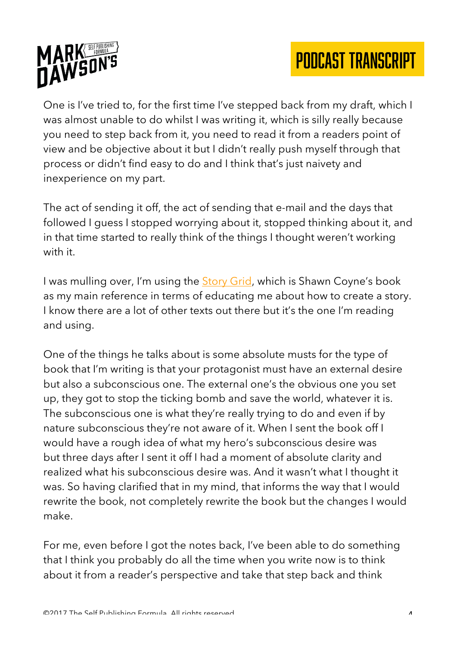

One is I've tried to, for the first time I've stepped back from my draft, which I was almost unable to do whilst I was writing it, which is silly really because you need to step back from it, you need to read it from a readers point of view and be objective about it but I didn't really push myself through that process or didn't find easy to do and I think that's just naivety and inexperience on my part.

The act of sending it off, the act of sending that e-mail and the days that followed I guess I stopped worrying about it, stopped thinking about it, and in that time started to really think of the things I thought weren't working with it.

I was mulling over, I'm using the Story Grid, which is Shawn Coyne's book as my main reference in terms of educating me about how to create a story. I know there are a lot of other texts out there but it's the one I'm reading and using.

One of the things he talks about is some absolute musts for the type of book that I'm writing is that your protagonist must have an external desire but also a subconscious one. The external one's the obvious one you set up, they got to stop the ticking bomb and save the world, whatever it is. The subconscious one is what they're really trying to do and even if by nature subconscious they're not aware of it. When I sent the book off I would have a rough idea of what my hero's subconscious desire was but three days after I sent it off I had a moment of absolute clarity and realized what his subconscious desire was. And it wasn't what I thought it was. So having clarified that in my mind, that informs the way that I would rewrite the book, not completely rewrite the book but the changes I would make.

For me, even before I got the notes back, I've been able to do something that I think you probably do all the time when you write now is to think about it from a reader's perspective and take that step back and think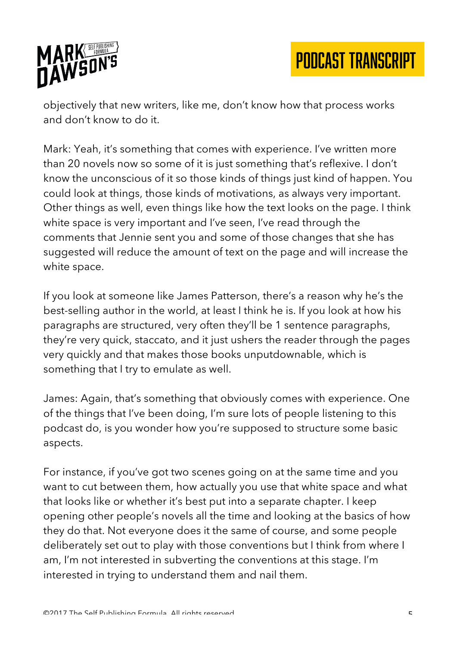

objectively that new writers, like me, don't know how that process works and don't know to do it.

Mark: Yeah, it's something that comes with experience. I've written more than 20 novels now so some of it is just something that's reflexive. I don't know the unconscious of it so those kinds of things just kind of happen. You could look at things, those kinds of motivations, as always very important. Other things as well, even things like how the text looks on the page. I think white space is very important and I've seen, I've read through the comments that Jennie sent you and some of those changes that she has suggested will reduce the amount of text on the page and will increase the white space.

If you look at someone like James Patterson, there's a reason why he's the best-selling author in the world, at least I think he is. If you look at how his paragraphs are structured, very often they'll be 1 sentence paragraphs, they're very quick, staccato, and it just ushers the reader through the pages very quickly and that makes those books unputdownable, which is something that I try to emulate as well.

James: Again, that's something that obviously comes with experience. One of the things that I've been doing, I'm sure lots of people listening to this podcast do, is you wonder how you're supposed to structure some basic aspects.

For instance, if you've got two scenes going on at the same time and you want to cut between them, how actually you use that white space and what that looks like or whether it's best put into a separate chapter. I keep opening other people's novels all the time and looking at the basics of how they do that. Not everyone does it the same of course, and some people deliberately set out to play with those conventions but I think from where I am, I'm not interested in subverting the conventions at this stage. I'm interested in trying to understand them and nail them.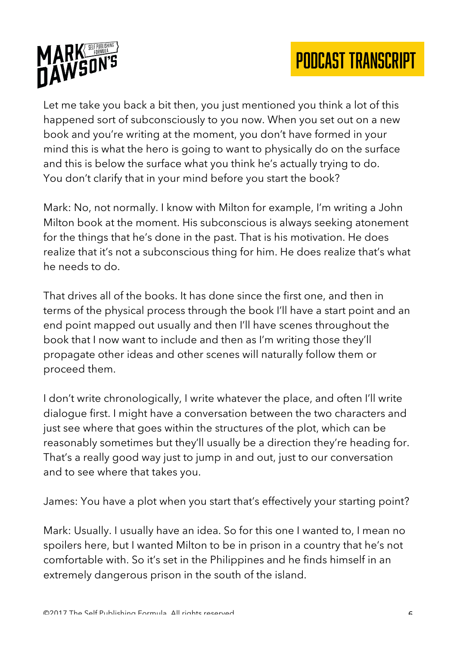



Let me take you back a bit then, you just mentioned you think a lot of this happened sort of subconsciously to you now. When you set out on a new book and you're writing at the moment, you don't have formed in your mind this is what the hero is going to want to physically do on the surface and this is below the surface what you think he's actually trying to do. You don't clarify that in your mind before you start the book?

Mark: No, not normally. I know with Milton for example, I'm writing a John Milton book at the moment. His subconscious is always seeking atonement for the things that he's done in the past. That is his motivation. He does realize that it's not a subconscious thing for him. He does realize that's what he needs to do.

That drives all of the books. It has done since the first one, and then in terms of the physical process through the book I'll have a start point and an end point mapped out usually and then I'll have scenes throughout the book that I now want to include and then as I'm writing those they'll propagate other ideas and other scenes will naturally follow them or proceed them.

I don't write chronologically, I write whatever the place, and often I'll write dialogue first. I might have a conversation between the two characters and just see where that goes within the structures of the plot, which can be reasonably sometimes but they'll usually be a direction they're heading for. That's a really good way just to jump in and out, just to our conversation and to see where that takes you.

James: You have a plot when you start that's effectively your starting point?

Mark: Usually. I usually have an idea. So for this one I wanted to, I mean no spoilers here, but I wanted Milton to be in prison in a country that he's not comfortable with. So it's set in the Philippines and he finds himself in an extremely dangerous prison in the south of the island.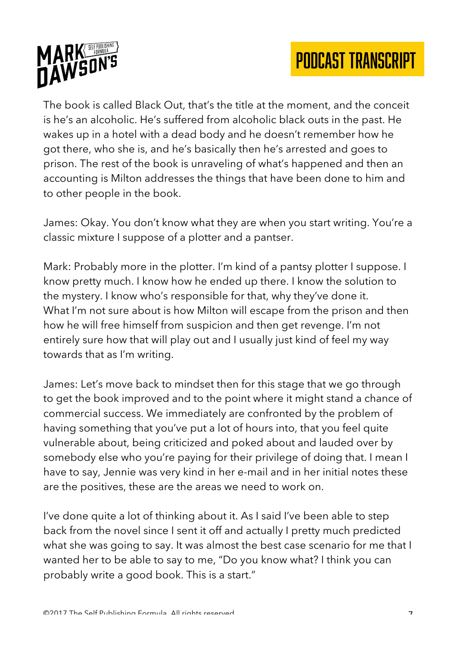



The book is called Black Out, that's the title at the moment, and the conceit is he's an alcoholic. He's suffered from alcoholic black outs in the past. He wakes up in a hotel with a dead body and he doesn't remember how he got there, who she is, and he's basically then he's arrested and goes to prison. The rest of the book is unraveling of what's happened and then an accounting is Milton addresses the things that have been done to him and to other people in the book.

James: Okay. You don't know what they are when you start writing. You're a classic mixture I suppose of a plotter and a pantser.

Mark: Probably more in the plotter. I'm kind of a pantsy plotter I suppose. I know pretty much. I know how he ended up there. I know the solution to the mystery. I know who's responsible for that, why they've done it. What I'm not sure about is how Milton will escape from the prison and then how he will free himself from suspicion and then get revenge. I'm not entirely sure how that will play out and I usually just kind of feel my way towards that as I'm writing.

James: Let's move back to mindset then for this stage that we go through to get the book improved and to the point where it might stand a chance of commercial success. We immediately are confronted by the problem of having something that you've put a lot of hours into, that you feel quite vulnerable about, being criticized and poked about and lauded over by somebody else who you're paying for their privilege of doing that. I mean I have to say, Jennie was very kind in her e-mail and in her initial notes these are the positives, these are the areas we need to work on.

I've done quite a lot of thinking about it. As I said I've been able to step back from the novel since I sent it off and actually I pretty much predicted what she was going to say. It was almost the best case scenario for me that I wanted her to be able to say to me, "Do you know what? I think you can probably write a good book. This is a start."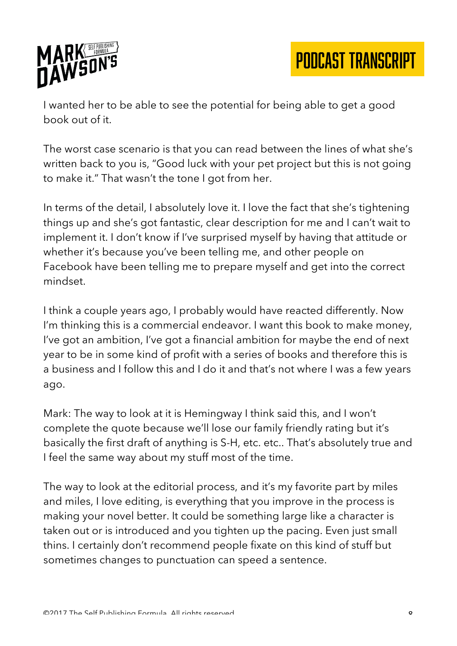

I wanted her to be able to see the potential for being able to get a good book out of it.

The worst case scenario is that you can read between the lines of what she's written back to you is, "Good luck with your pet project but this is not going to make it." That wasn't the tone I got from her.

In terms of the detail, I absolutely love it. I love the fact that she's tightening things up and she's got fantastic, clear description for me and I can't wait to implement it. I don't know if I've surprised myself by having that attitude or whether it's because you've been telling me, and other people on Facebook have been telling me to prepare myself and get into the correct mindset.

I think a couple years ago, I probably would have reacted differently. Now I'm thinking this is a commercial endeavor. I want this book to make money, I've got an ambition, I've got a financial ambition for maybe the end of next year to be in some kind of profit with a series of books and therefore this is a business and I follow this and I do it and that's not where I was a few years ago.

Mark: The way to look at it is Hemingway I think said this, and I won't complete the quote because we'll lose our family friendly rating but it's basically the first draft of anything is S-H, etc. etc.. That's absolutely true and I feel the same way about my stuff most of the time.

The way to look at the editorial process, and it's my favorite part by miles and miles, I love editing, is everything that you improve in the process is making your novel better. It could be something large like a character is taken out or is introduced and you tighten up the pacing. Even just small thins. I certainly don't recommend people fixate on this kind of stuff but sometimes changes to punctuation can speed a sentence.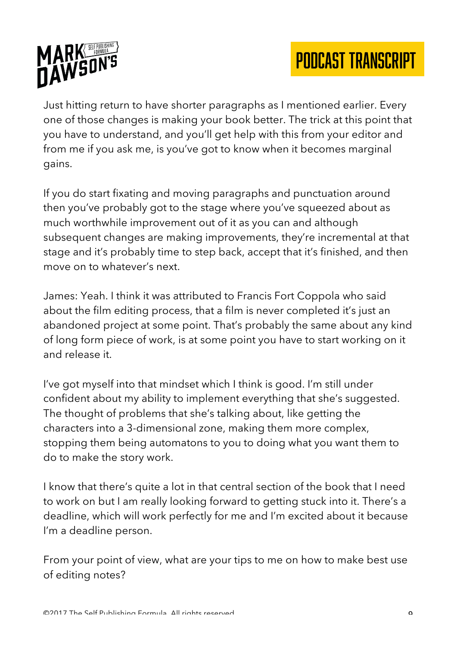

Just hitting return to have shorter paragraphs as I mentioned earlier. Every one of those changes is making your book better. The trick at this point that you have to understand, and you'll get help with this from your editor and from me if you ask me, is you've got to know when it becomes marginal gains.

If you do start fixating and moving paragraphs and punctuation around then you've probably got to the stage where you've squeezed about as much worthwhile improvement out of it as you can and although subsequent changes are making improvements, they're incremental at that stage and it's probably time to step back, accept that it's finished, and then move on to whatever's next.

James: Yeah. I think it was attributed to Francis Fort Coppola who said about the film editing process, that a film is never completed it's just an abandoned project at some point. That's probably the same about any kind of long form piece of work, is at some point you have to start working on it and release it.

I've got myself into that mindset which I think is good. I'm still under confident about my ability to implement everything that she's suggested. The thought of problems that she's talking about, like getting the characters into a 3-dimensional zone, making them more complex, stopping them being automatons to you to doing what you want them to do to make the story work.

I know that there's quite a lot in that central section of the book that I need to work on but I am really looking forward to getting stuck into it. There's a deadline, which will work perfectly for me and I'm excited about it because I'm a deadline person.

From your point of view, what are your tips to me on how to make best use of editing notes?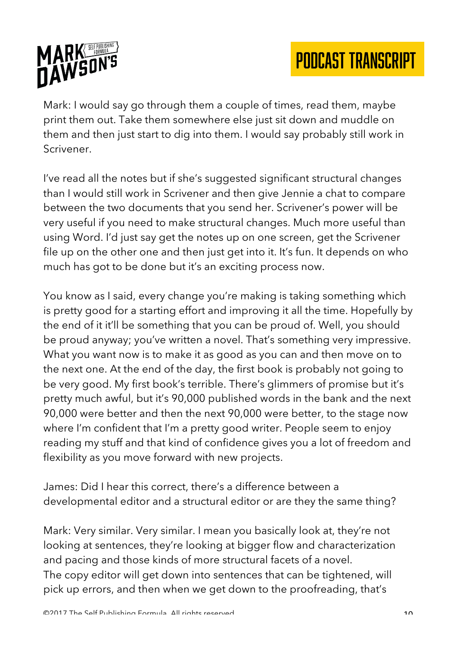

Mark: I would say go through them a couple of times, read them, maybe print them out. Take them somewhere else just sit down and muddle on them and then just start to dig into them. I would say probably still work in Scrivener.

I've read all the notes but if she's suggested significant structural changes than I would still work in Scrivener and then give Jennie a chat to compare between the two documents that you send her. Scrivener's power will be very useful if you need to make structural changes. Much more useful than using Word. I'd just say get the notes up on one screen, get the Scrivener file up on the other one and then just get into it. It's fun. It depends on who much has got to be done but it's an exciting process now.

You know as I said, every change you're making is taking something which is pretty good for a starting effort and improving it all the time. Hopefully by the end of it it'll be something that you can be proud of. Well, you should be proud anyway; you've written a novel. That's something very impressive. What you want now is to make it as good as you can and then move on to the next one. At the end of the day, the first book is probably not going to be very good. My first book's terrible. There's glimmers of promise but it's pretty much awful, but it's 90,000 published words in the bank and the next 90,000 were better and then the next 90,000 were better, to the stage now where I'm confident that I'm a pretty good writer. People seem to enjoy reading my stuff and that kind of confidence gives you a lot of freedom and flexibility as you move forward with new projects.

James: Did I hear this correct, there's a difference between a developmental editor and a structural editor or are they the same thing?

Mark: Very similar. Very similar. I mean you basically look at, they're not looking at sentences, they're looking at bigger flow and characterization and pacing and those kinds of more structural facets of a novel. The copy editor will get down into sentences that can be tightened, will pick up errors, and then when we get down to the proofreading, that's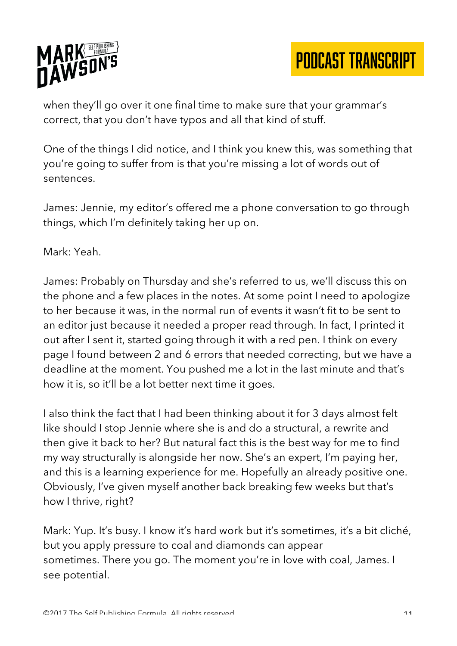

when they'll go over it one final time to make sure that your grammar's correct, that you don't have typos and all that kind of stuff.

One of the things I did notice, and I think you knew this, was something that you're going to suffer from is that you're missing a lot of words out of sentences.

James: Jennie, my editor's offered me a phone conversation to go through things, which I'm definitely taking her up on.

Mark: Yeah.

James: Probably on Thursday and she's referred to us, we'll discuss this on the phone and a few places in the notes. At some point I need to apologize to her because it was, in the normal run of events it wasn't fit to be sent to an editor just because it needed a proper read through. In fact, I printed it out after I sent it, started going through it with a red pen. I think on every page I found between 2 and 6 errors that needed correcting, but we have a deadline at the moment. You pushed me a lot in the last minute and that's how it is, so it'll be a lot better next time it goes.

I also think the fact that I had been thinking about it for 3 days almost felt like should I stop Jennie where she is and do a structural, a rewrite and then give it back to her? But natural fact this is the best way for me to find my way structurally is alongside her now. She's an expert, I'm paying her, and this is a learning experience for me. Hopefully an already positive one. Obviously, I've given myself another back breaking few weeks but that's how I thrive, right?

Mark: Yup. It's busy. I know it's hard work but it's sometimes, it's a bit cliché, but you apply pressure to coal and diamonds can appear sometimes. There you go. The moment you're in love with coal, James. I see potential.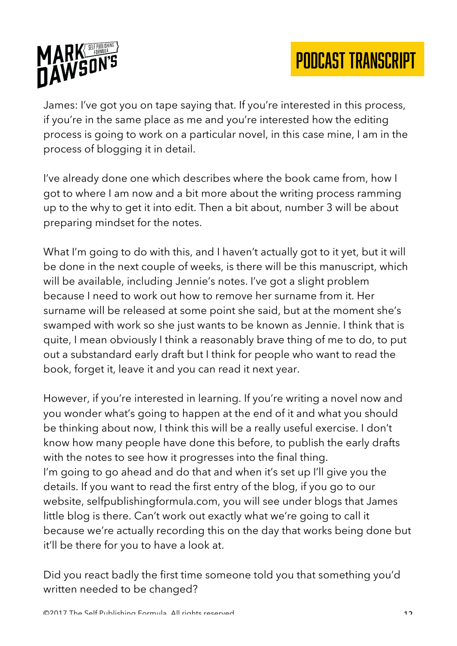

James: I've got you on tape saying that. If you're interested in this process, if you're in the same place as me and you're interested how the editing process is going to work on a particular novel, in this case mine, I am in the process of blogging it in detail.

I've already done one which describes where the book came from, how I got to where I am now and a bit more about the writing process ramming up to the why to get it into edit. Then a bit about, number 3 will be about preparing mindset for the notes.

What I'm going to do with this, and I haven't actually got to it yet, but it will be done in the next couple of weeks, is there will be this manuscript, which will be available, including Jennie's notes. I've got a slight problem because I need to work out how to remove her surname from it. Her surname will be released at some point she said, but at the moment she's swamped with work so she just wants to be known as Jennie. I think that is quite, I mean obviously I think a reasonably brave thing of me to do, to put out a substandard early draft but I think for people who want to read the book, forget it, leave it and you can read it next year.

However, if you're interested in learning. If you're writing a novel now and you wonder what's going to happen at the end of it and what you should be thinking about now, I think this will be a really useful exercise. I don't know how many people have done this before, to publish the early drafts with the notes to see how it progresses into the final thing. I'm going to go ahead and do that and when it's set up I'll give you the details. If you want to read the first entry of the blog, if you go to our website, selfpublishingformula.com, you will see under blogs that James little blog is there. Can't work out exactly what we're going to call it because we're actually recording this on the day that works being done but it'll be there for you to have a look at.

Did you react badly the first time someone told you that something you'd written needed to be changed?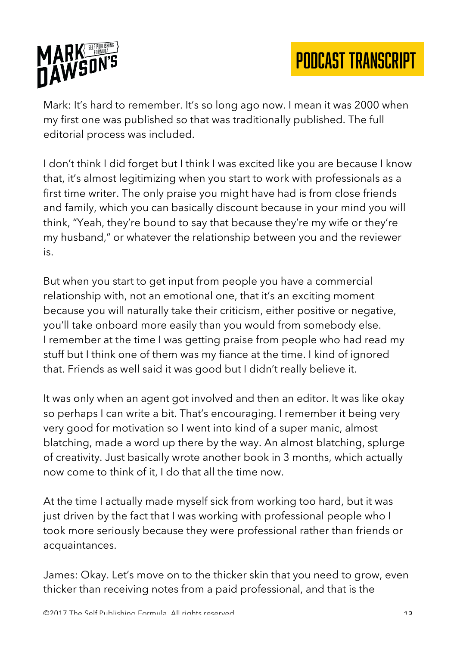

Mark: It's hard to remember. It's so long ago now. I mean it was 2000 when my first one was published so that was traditionally published. The full editorial process was included.

I don't think I did forget but I think I was excited like you are because I know that, it's almost legitimizing when you start to work with professionals as a first time writer. The only praise you might have had is from close friends and family, which you can basically discount because in your mind you will think, "Yeah, they're bound to say that because they're my wife or they're my husband," or whatever the relationship between you and the reviewer is.

But when you start to get input from people you have a commercial relationship with, not an emotional one, that it's an exciting moment because you will naturally take their criticism, either positive or negative, you'll take onboard more easily than you would from somebody else. I remember at the time I was getting praise from people who had read my stuff but I think one of them was my fiance at the time. I kind of ignored that. Friends as well said it was good but I didn't really believe it.

It was only when an agent got involved and then an editor. It was like okay so perhaps I can write a bit. That's encouraging. I remember it being very very good for motivation so I went into kind of a super manic, almost blatching, made a word up there by the way. An almost blatching, splurge of creativity. Just basically wrote another book in 3 months, which actually now come to think of it, I do that all the time now.

At the time I actually made myself sick from working too hard, but it was just driven by the fact that I was working with professional people who I took more seriously because they were professional rather than friends or acquaintances.

James: Okay. Let's move on to the thicker skin that you need to grow, even thicker than receiving notes from a paid professional, and that is the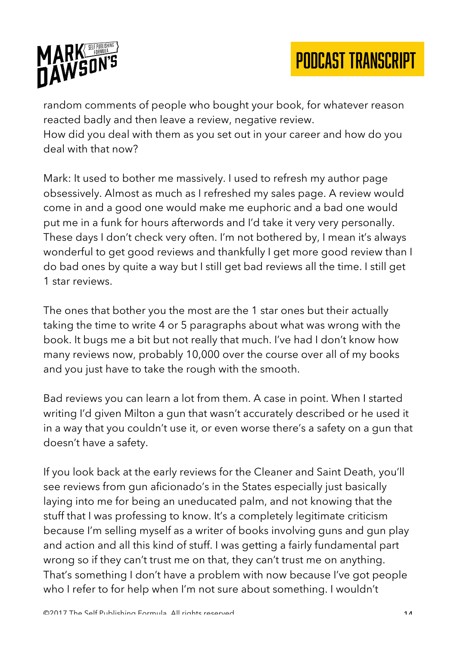

random comments of people who bought your book, for whatever reason reacted badly and then leave a review, negative review. How did you deal with them as you set out in your career and how do you deal with that now?

Mark: It used to bother me massively. I used to refresh my author page obsessively. Almost as much as I refreshed my sales page. A review would come in and a good one would make me euphoric and a bad one would put me in a funk for hours afterwords and I'd take it very very personally. These days I don't check very often. I'm not bothered by, I mean it's always wonderful to get good reviews and thankfully I get more good review than I do bad ones by quite a way but I still get bad reviews all the time. I still get 1 star reviews.

The ones that bother you the most are the 1 star ones but their actually taking the time to write 4 or 5 paragraphs about what was wrong with the book. It bugs me a bit but not really that much. I've had I don't know how many reviews now, probably 10,000 over the course over all of my books and you just have to take the rough with the smooth.

Bad reviews you can learn a lot from them. A case in point. When I started writing I'd given Milton a gun that wasn't accurately described or he used it in a way that you couldn't use it, or even worse there's a safety on a gun that doesn't have a safety.

If you look back at the early reviews for the Cleaner and Saint Death, you'll see reviews from gun aficionado's in the States especially just basically laying into me for being an uneducated palm, and not knowing that the stuff that I was professing to know. It's a completely legitimate criticism because I'm selling myself as a writer of books involving guns and gun play and action and all this kind of stuff. I was getting a fairly fundamental part wrong so if they can't trust me on that, they can't trust me on anything. That's something I don't have a problem with now because I've got people who I refer to for help when I'm not sure about something. I wouldn't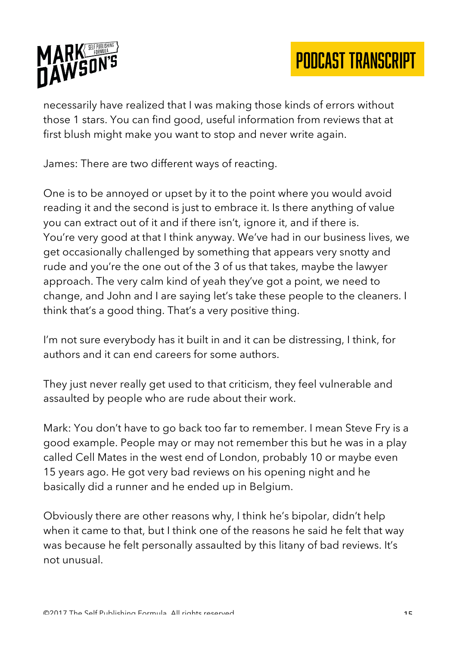

necessarily have realized that I was making those kinds of errors without those 1 stars. You can find good, useful information from reviews that at first blush might make you want to stop and never write again.

James: There are two different ways of reacting.

One is to be annoyed or upset by it to the point where you would avoid reading it and the second is just to embrace it. Is there anything of value you can extract out of it and if there isn't, ignore it, and if there is. You're very good at that I think anyway. We've had in our business lives, we get occasionally challenged by something that appears very snotty and rude and you're the one out of the 3 of us that takes, maybe the lawyer approach. The very calm kind of yeah they've got a point, we need to change, and John and I are saying let's take these people to the cleaners. I think that's a good thing. That's a very positive thing.

I'm not sure everybody has it built in and it can be distressing, I think, for authors and it can end careers for some authors.

They just never really get used to that criticism, they feel vulnerable and assaulted by people who are rude about their work.

Mark: You don't have to go back too far to remember. I mean Steve Fry is a good example. People may or may not remember this but he was in a play called Cell Mates in the west end of London, probably 10 or maybe even 15 years ago. He got very bad reviews on his opening night and he basically did a runner and he ended up in Belgium.

Obviously there are other reasons why, I think he's bipolar, didn't help when it came to that, but I think one of the reasons he said he felt that way was because he felt personally assaulted by this litany of bad reviews. It's not unusual.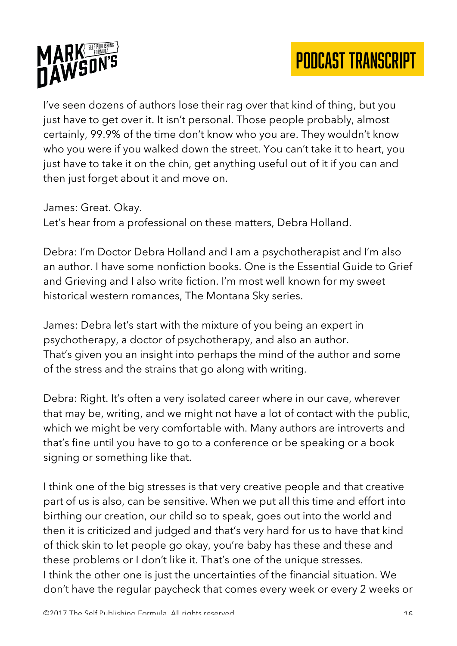

I've seen dozens of authors lose their rag over that kind of thing, but you just have to get over it. It isn't personal. Those people probably, almost certainly, 99.9% of the time don't know who you are. They wouldn't know who you were if you walked down the street. You can't take it to heart, you just have to take it on the chin, get anything useful out of it if you can and then just forget about it and move on.

James: Great. Okay.

Let's hear from a professional on these matters, Debra Holland.

Debra: I'm Doctor Debra Holland and I am a psychotherapist and I'm also an author. I have some nonfiction books. One is the Essential Guide to Grief and Grieving and I also write fiction. I'm most well known for my sweet historical western romances, The Montana Sky series.

James: Debra let's start with the mixture of you being an expert in psychotherapy, a doctor of psychotherapy, and also an author. That's given you an insight into perhaps the mind of the author and some of the stress and the strains that go along with writing.

Debra: Right. It's often a very isolated career where in our cave, wherever that may be, writing, and we might not have a lot of contact with the public, which we might be very comfortable with. Many authors are introverts and that's fine until you have to go to a conference or be speaking or a book signing or something like that.

I think one of the big stresses is that very creative people and that creative part of us is also, can be sensitive. When we put all this time and effort into birthing our creation, our child so to speak, goes out into the world and then it is criticized and judged and that's very hard for us to have that kind of thick skin to let people go okay, you're baby has these and these and these problems or I don't like it. That's one of the unique stresses. I think the other one is just the uncertainties of the financial situation. We don't have the regular paycheck that comes every week or every 2 weeks or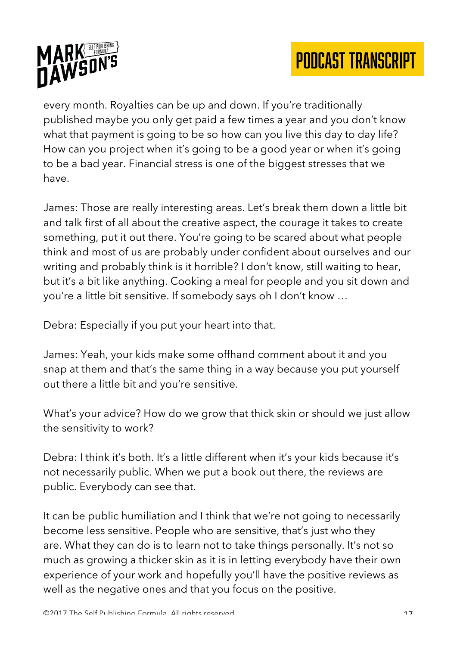

every month. Royalties can be up and down. If you're traditionally published maybe you only get paid a few times a year and you don't know what that payment is going to be so how can you live this day to day life? How can you project when it's going to be a good year or when it's going to be a bad year. Financial stress is one of the biggest stresses that we have.

James: Those are really interesting areas. Let's break them down a little bit and talk first of all about the creative aspect, the courage it takes to create something, put it out there. You're going to be scared about what people think and most of us are probably under confident about ourselves and our writing and probably think is it horrible? I don't know, still waiting to hear, but it's a bit like anything. Cooking a meal for people and you sit down and you're a little bit sensitive. If somebody says oh I don't know …

Debra: Especially if you put your heart into that.

James: Yeah, your kids make some offhand comment about it and you snap at them and that's the same thing in a way because you put yourself out there a little bit and you're sensitive.

What's your advice? How do we grow that thick skin or should we just allow the sensitivity to work?

Debra: I think it's both. It's a little different when it's your kids because it's not necessarily public. When we put a book out there, the reviews are public. Everybody can see that.

It can be public humiliation and I think that we're not going to necessarily become less sensitive. People who are sensitive, that's just who they are. What they can do is to learn not to take things personally. It's not so much as growing a thicker skin as it is in letting everybody have their own experience of your work and hopefully you'll have the positive reviews as well as the negative ones and that you focus on the positive.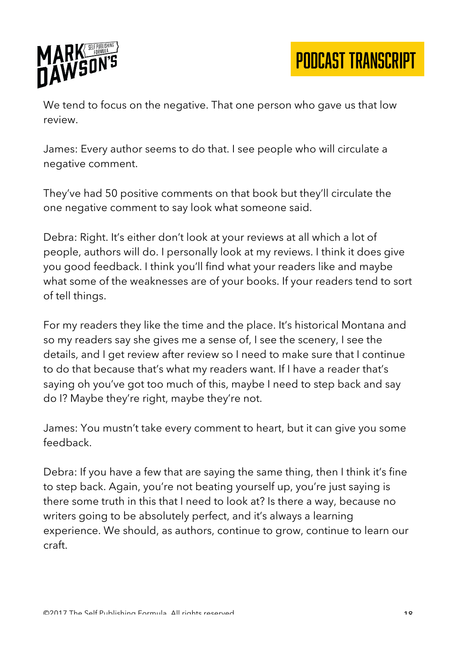

We tend to focus on the negative. That one person who gave us that low review.

James: Every author seems to do that. I see people who will circulate a negative comment.

They've had 50 positive comments on that book but they'll circulate the one negative comment to say look what someone said.

Debra: Right. It's either don't look at your reviews at all which a lot of people, authors will do. I personally look at my reviews. I think it does give you good feedback. I think you'll find what your readers like and maybe what some of the weaknesses are of your books. If your readers tend to sort of tell things.

For my readers they like the time and the place. It's historical Montana and so my readers say she gives me a sense of, I see the scenery, I see the details, and I get review after review so I need to make sure that I continue to do that because that's what my readers want. If I have a reader that's saying oh you've got too much of this, maybe I need to step back and say do I? Maybe they're right, maybe they're not.

James: You mustn't take every comment to heart, but it can give you some feedback.

Debra: If you have a few that are saying the same thing, then I think it's fine to step back. Again, you're not beating yourself up, you're just saying is there some truth in this that I need to look at? Is there a way, because no writers going to be absolutely perfect, and it's always a learning experience. We should, as authors, continue to grow, continue to learn our craft.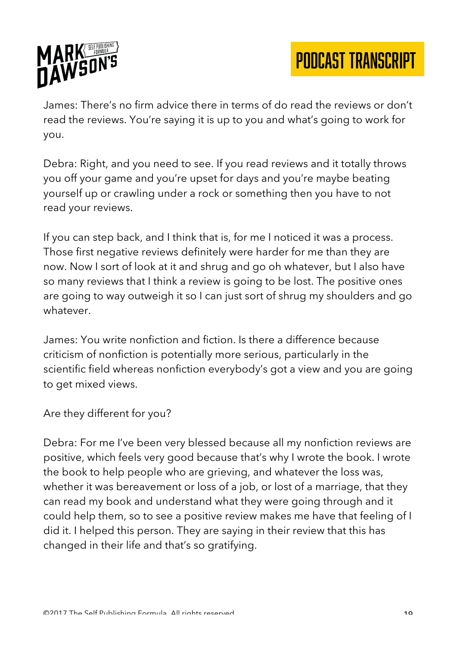

James: There's no firm advice there in terms of do read the reviews or don't read the reviews. You're saying it is up to you and what's going to work for you.

Debra: Right, and you need to see. If you read reviews and it totally throws you off your game and you're upset for days and you're maybe beating yourself up or crawling under a rock or something then you have to not read your reviews.

If you can step back, and I think that is, for me I noticed it was a process. Those first negative reviews definitely were harder for me than they are now. Now I sort of look at it and shrug and go oh whatever, but I also have so many reviews that I think a review is going to be lost. The positive ones are going to way outweigh it so I can just sort of shrug my shoulders and go whatever.

James: You write nonfiction and fiction. Is there a difference because criticism of nonfiction is potentially more serious, particularly in the scientific field whereas nonfiction everybody's got a view and you are going to get mixed views.

Are they different for you?

Debra: For me I've been very blessed because all my nonfiction reviews are positive, which feels very good because that's why I wrote the book. I wrote the book to help people who are grieving, and whatever the loss was, whether it was bereavement or loss of a job, or lost of a marriage, that they can read my book and understand what they were going through and it could help them, so to see a positive review makes me have that feeling of I did it. I helped this person. They are saying in their review that this has changed in their life and that's so gratifying.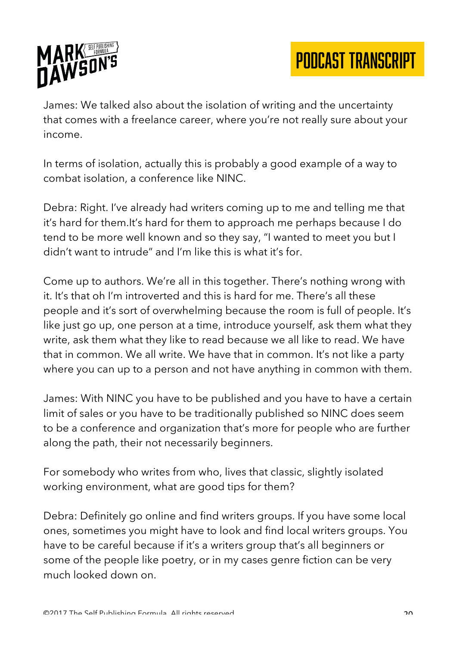

James: We talked also about the isolation of writing and the uncertainty that comes with a freelance career, where you're not really sure about your income.

In terms of isolation, actually this is probably a good example of a way to combat isolation, a conference like NINC.

Debra: Right. I've already had writers coming up to me and telling me that it's hard for them.It's hard for them to approach me perhaps because I do tend to be more well known and so they say, "I wanted to meet you but I didn't want to intrude" and I'm like this is what it's for.

Come up to authors. We're all in this together. There's nothing wrong with it. It's that oh I'm introverted and this is hard for me. There's all these people and it's sort of overwhelming because the room is full of people. It's like just go up, one person at a time, introduce yourself, ask them what they write, ask them what they like to read because we all like to read. We have that in common. We all write. We have that in common. It's not like a party where you can up to a person and not have anything in common with them.

James: With NINC you have to be published and you have to have a certain limit of sales or you have to be traditionally published so NINC does seem to be a conference and organization that's more for people who are further along the path, their not necessarily beginners.

For somebody who writes from who, lives that classic, slightly isolated working environment, what are good tips for them?

Debra: Definitely go online and find writers groups. If you have some local ones, sometimes you might have to look and find local writers groups. You have to be careful because if it's a writers group that's all beginners or some of the people like poetry, or in my cases genre fiction can be very much looked down on.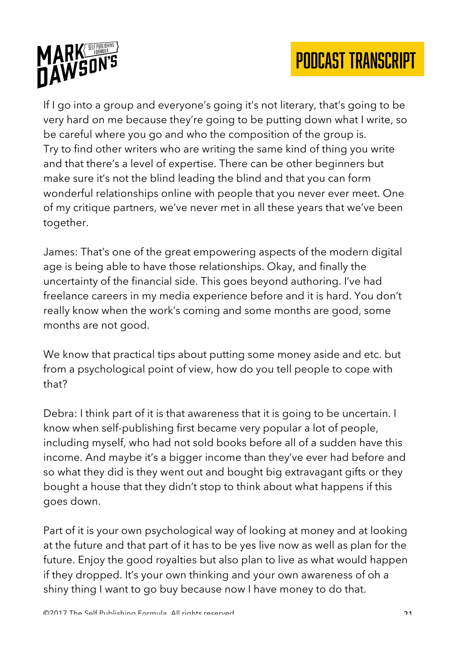

If I go into a group and everyone's going it's not literary, that's going to be very hard on me because they're going to be putting down what I write, so be careful where you go and who the composition of the group is. Try to find other writers who are writing the same kind of thing you write and that there's a level of expertise. There can be other beginners but make sure it's not the blind leading the blind and that you can form wonderful relationships online with people that you never ever meet. One of my critique partners, we've never met in all these years that we've been together.

James: That's one of the great empowering aspects of the modern digital age is being able to have those relationships. Okay, and finally the uncertainty of the financial side. This goes beyond authoring. I've had freelance careers in my media experience before and it is hard. You don't really know when the work's coming and some months are good, some months are not good.

We know that practical tips about putting some money aside and etc. but from a psychological point of view, how do you tell people to cope with that?

Debra: I think part of it is that awareness that it is going to be uncertain. I know when self-publishing first became very popular a lot of people, including myself, who had not sold books before all of a sudden have this income. And maybe it's a bigger income than they've ever had before and so what they did is they went out and bought big extravagant gifts or they bought a house that they didn't stop to think about what happens if this goes down.

Part of it is your own psychological way of looking at money and at looking at the future and that part of it has to be yes live now as well as plan for the future. Enjoy the good royalties but also plan to live as what would happen if they dropped. It's your own thinking and your own awareness of oh a shiny thing I want to go buy because now I have money to do that.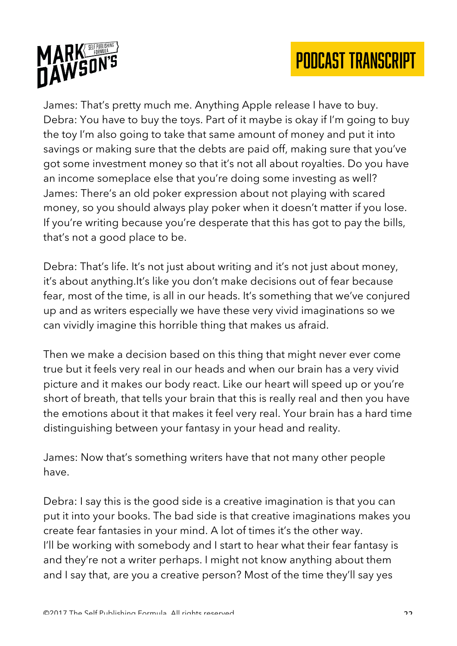



James: That's pretty much me. Anything Apple release I have to buy. Debra: You have to buy the toys. Part of it maybe is okay if I'm going to buy the toy I'm also going to take that same amount of money and put it into savings or making sure that the debts are paid off, making sure that you've got some investment money so that it's not all about royalties. Do you have an income someplace else that you're doing some investing as well? James: There's an old poker expression about not playing with scared money, so you should always play poker when it doesn't matter if you lose. If you're writing because you're desperate that this has got to pay the bills, that's not a good place to be.

Debra: That's life. It's not just about writing and it's not just about money, it's about anything.It's like you don't make decisions out of fear because fear, most of the time, is all in our heads. It's something that we've conjured up and as writers especially we have these very vivid imaginations so we can vividly imagine this horrible thing that makes us afraid.

Then we make a decision based on this thing that might never ever come true but it feels very real in our heads and when our brain has a very vivid picture and it makes our body react. Like our heart will speed up or you're short of breath, that tells your brain that this is really real and then you have the emotions about it that makes it feel very real. Your brain has a hard time distinguishing between your fantasy in your head and reality.

James: Now that's something writers have that not many other people have.

Debra: I say this is the good side is a creative imagination is that you can put it into your books. The bad side is that creative imaginations makes you create fear fantasies in your mind. A lot of times it's the other way. I'll be working with somebody and I start to hear what their fear fantasy is and they're not a writer perhaps. I might not know anything about them and I say that, are you a creative person? Most of the time they'll say yes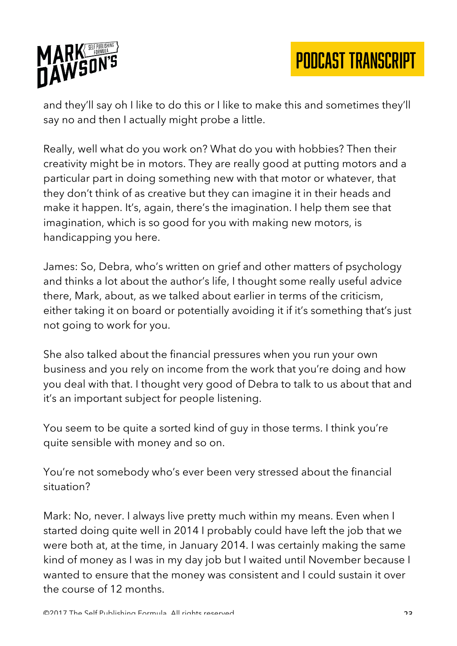

and they'll say oh I like to do this or I like to make this and sometimes they'll say no and then I actually might probe a little.

Really, well what do you work on? What do you with hobbies? Then their creativity might be in motors. They are really good at putting motors and a particular part in doing something new with that motor or whatever, that they don't think of as creative but they can imagine it in their heads and make it happen. It's, again, there's the imagination. I help them see that imagination, which is so good for you with making new motors, is handicapping you here.

James: So, Debra, who's written on grief and other matters of psychology and thinks a lot about the author's life, I thought some really useful advice there, Mark, about, as we talked about earlier in terms of the criticism, either taking it on board or potentially avoiding it if it's something that's just not going to work for you.

She also talked about the financial pressures when you run your own business and you rely on income from the work that you're doing and how you deal with that. I thought very good of Debra to talk to us about that and it's an important subject for people listening.

You seem to be quite a sorted kind of guy in those terms. I think you're quite sensible with money and so on.

You're not somebody who's ever been very stressed about the financial situation?

Mark: No, never. I always live pretty much within my means. Even when I started doing quite well in 2014 I probably could have left the job that we were both at, at the time, in January 2014. I was certainly making the same kind of money as I was in my day job but I waited until November because I wanted to ensure that the money was consistent and I could sustain it over the course of 12 months.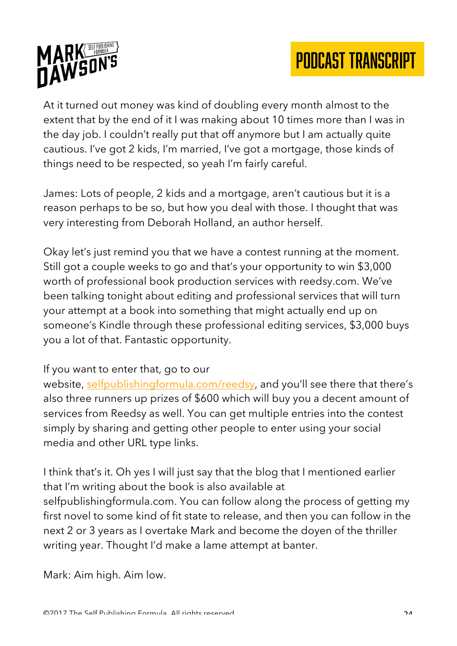

At it turned out money was kind of doubling every month almost to the extent that by the end of it I was making about 10 times more than I was in the day job. I couldn't really put that off anymore but I am actually quite cautious. I've got 2 kids, I'm married, I've got a mortgage, those kinds of things need to be respected, so yeah I'm fairly careful.

James: Lots of people, 2 kids and a mortgage, aren't cautious but it is a reason perhaps to be so, but how you deal with those. I thought that was very interesting from Deborah Holland, an author herself.

Okay let's just remind you that we have a contest running at the moment. Still got a couple weeks to go and that's your opportunity to win \$3,000 worth of professional book production services with reedsy.com. We've been talking tonight about editing and professional services that will turn your attempt at a book into something that might actually end up on someone's Kindle through these professional editing services, \$3,000 buys you a lot of that. Fantastic opportunity.

#### If you want to enter that, go to our

website, selfpublishingformula.com/reedsy, and you'll see there that there's also three runners up prizes of \$600 which will buy you a decent amount of services from Reedsy as well. You can get multiple entries into the contest simply by sharing and getting other people to enter using your social media and other URL type links.

I think that's it. Oh yes I will just say that the blog that I mentioned earlier that I'm writing about the book is also available at selfpublishingformula.com. You can follow along the process of getting my first novel to some kind of fit state to release, and then you can follow in the next 2 or 3 years as I overtake Mark and become the doyen of the thriller writing year. Thought I'd make a lame attempt at banter.

Mark: Aim high. Aim low.